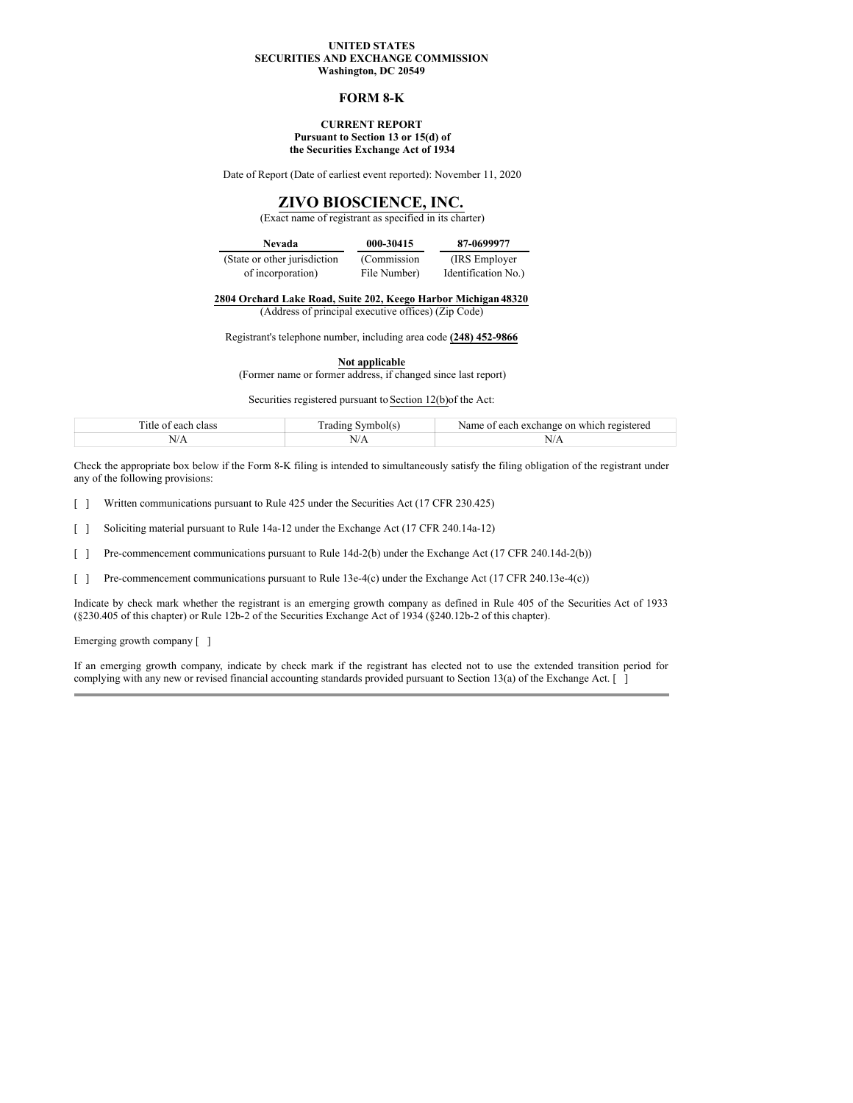## **UNITED STATES SECURITIES AND EXCHANGE COMMISSION Washington, DC 20549**

### **FORM 8-K**

### **CURRENT REPORT Pursuant to Section 13 or 15(d) of the Securities Exchange Act of 1934**

Date of Report (Date of earliest event reported): November 11, 2020

# **ZIVO BIOSCIENCE, INC.**

# (Exact name of registrant as specified in its charter)

| Nevada                        | 000-30415    | 87-0699977          |
|-------------------------------|--------------|---------------------|
| (State or other jurisdiction) | (Commission) | (IRS Employer)      |
| of incorporation)             | File Number) | Identification No.) |

**2804 Orchard Lake Road, Suite 202, Keego Harbor Michigan48320**

(Address of principal executive offices) (Zip Code)

Registrant's telephone number, including area code **(248) 452-9866**

**Not applicable**

(Former name or former address, if changed since last report)

Securities registered pursuant to Section 12(b)of the Act:

| m.<br>ritle :<br>each<br>class<br>$\Omega$             | symbolt<br>⊥aur | registered<br>each<br>which<br>Name<br>on<br>. exchange<br>,, |
|--------------------------------------------------------|-----------------|---------------------------------------------------------------|
| N/A<br>the contract of the contract of the contract of | 11/T            | 1.1111                                                        |

Check the appropriate box below if the Form 8-K filing is intended to simultaneously satisfy the filing obligation of the registrant under any of the following provisions:

Written communications pursuant to Rule 425 under the Securities Act (17 CFR 230.425)  $\lceil$   $\rceil$ 

Soliciting material pursuant to Rule 14a-12 under the Exchange Act (17 CFR 240.14a-12) [ ]

Pre-commencement communications pursuant to Rule 14d-2(b) under the Exchange Act (17 CFR 240.14d-2(b)) [ ]

Pre-commencement communications pursuant to Rule 13e-4(c) under the Exchange Act (17 CFR 240.13e-4(c)) [ ]

Indicate by check mark whether the registrant is an emerging growth company as defined in Rule 405 of the Securities Act of 1933 (§230.405 of this chapter) or Rule 12b-2 of the Securities Exchange Act of 1934 (§240.12b-2 of this chapter).

Emerging growth company [ ]

If an emerging growth company, indicate by check mark if the registrant has elected not to use the extended transition period for complying with any new or revised financial accounting standards provided pursuant to Section 13(a) of the Exchange Act. [ ]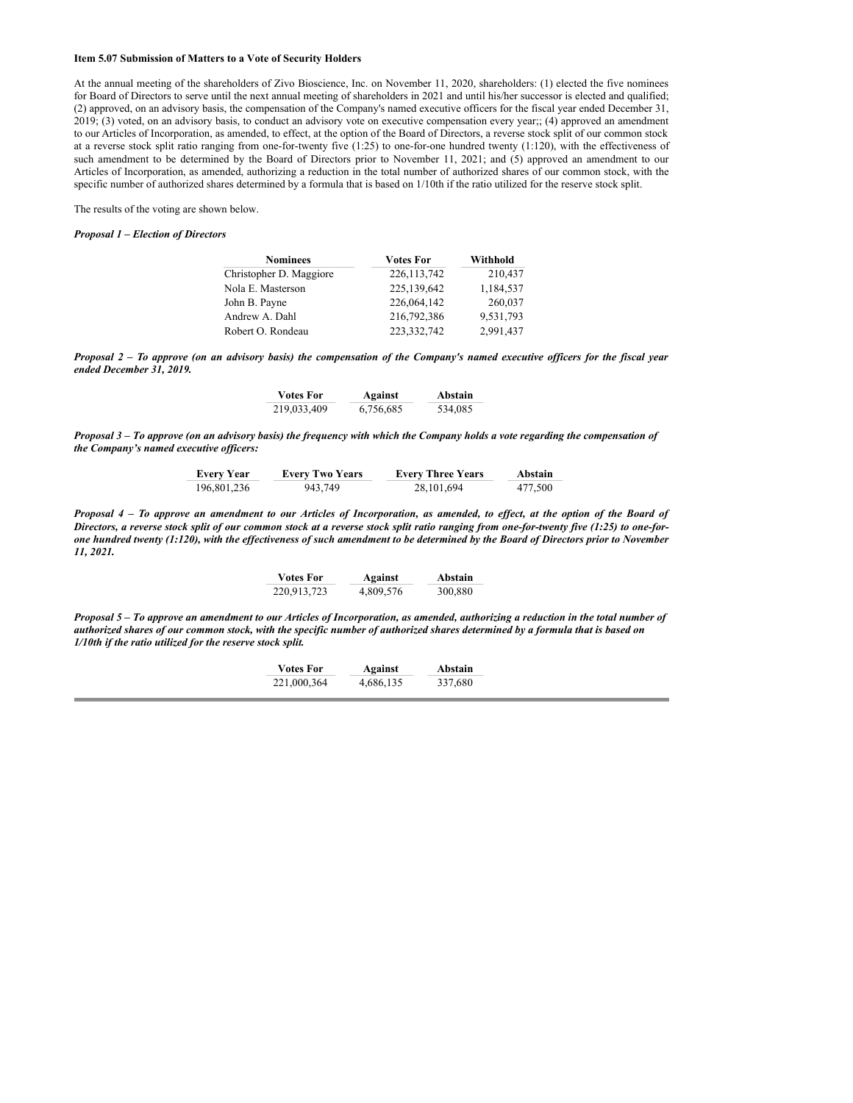## **Item 5.07 Submission of Matters to a Vote of Security Holders**

At the annual meeting of the shareholders of Zivo Bioscience, Inc. on November 11, 2020, shareholders: (1) elected the five nominees for Board of Directors to serve until the next annual meeting of shareholders in 2021 and until his/her successor is elected and qualified; (2) approved, on an advisory basis, the compensation of the Company's named executive officers for the fiscal year ended December 31, 2019; (3) voted, on an advisory basis, to conduct an advisory vote on executive compensation every year;; (4) approved an amendment to our Articles of Incorporation, as amended, to effect, at the option of the Board of Directors, a reverse stock split of our common stock at a reverse stock split ratio ranging from one-for-twenty five (1:25) to one-for-one hundred twenty (1:120), with the effectiveness of such amendment to be determined by the Board of Directors prior to November 11, 2021; and (5) approved an amendment to our Articles of Incorporation, as amended, authorizing a reduction in the total number of authorized shares of our common stock, with the specific number of authorized shares determined by a formula that is based on 1/10th if the ratio utilized for the reserve stock split.

The results of the voting are shown below.

#### *Proposal 1 – Election of Directors*

| <b>Nominees</b>         | <b>Votes For</b> | Withhold  |
|-------------------------|------------------|-----------|
| Christopher D. Maggiore | 226, 113, 742    | 210,437   |
| Nola E. Masterson       | 225,139,642      | 1,184,537 |
| John B. Payne           | 226,064,142      | 260,037   |
| Andrew A. Dahl          | 216,792,386      | 9,531,793 |
| Robert O. Rondeau       | 223, 332, 742    | 2,991,437 |

Proposal 2 – To approve (on an advisory basis) the compensation of the Company's named executive officers for the fiscal year *ended December 31, 2019.*

| <b>Votes For</b> | Against   | Abstain |
|------------------|-----------|---------|
| 219,033,409      | 6,756,685 | 534,085 |

Proposal 3 – To approve (on an advisory basis) the frequency with which the Company holds a vote regarding the compensation of *the Company's named executive of icers:*

| <b>Every Year</b> | <b>Every Two Years</b> | <b>Every Three Years</b> | Abstain |
|-------------------|------------------------|--------------------------|---------|
| 196,801,236       | 943.749                | 28.101.694               | 477.500 |

Proposal 4 - To approve an amendment to our Articles of Incorporation, as amended, to effect, at the option of the Board of Directors, a reverse stock split of our common stock at a reverse stock split ratio ranging from one-for-twenty five (1:25) to one-forone hundred twenty (1:120), with the effectiveness of such amendment to be determined by the Board of Directors prior to November *11, 2021.*

| <b>Votes For</b> | Against   | Abstain |
|------------------|-----------|---------|
| 220,913,723      | 4,809,576 | 300,880 |

Proposal 5 – To approve an amendment to our Articles of Incorporation, as amended, authorizing a reduction in the total number of authorized shares of our common stock, with the specific number of authorized shares determined by a formula that is based on *1/10th if the ratio utilized for the reserve stock split.*

| <b>Votes For</b> | Against   | Abstain |
|------------------|-----------|---------|
| 221,000,364      | 4,686,135 | 337,680 |